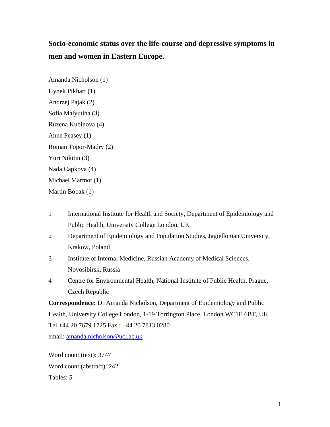# **Socio-economic status over the life-course and depressive symptoms in men and women in Eastern Europe.**

Amanda Nicholson (1) Hynek Pikhart (1) Andrzej Pajak (2) Sofia Malyutina (3) Ruzena Kubinova (4) Anne Peasey (1) Roman Topor-Madry (2) Yuri Nikitin (3) Nada Capkova (4) Michael Marmot (1) Martin Bobak (1)

- 1 International Institute for Health and Society, Department of Epidemiology and Public Health, University College London, UK
- 2 Department of Epidemiology and Population Studies, Jagiellonian University, Krakow, Poland
- 3 Institute of Internal Medicine, Russian Academy of Medical Sciences, Novosibirsk, Russia
- 4 Centre for Environmental Health, National Institute of Public Health, Prague, Czech Republic

**Correspondence:** Dr Amanda Nicholson, Department of Epidemiology and Public Health, University College London, 1-19 Torrington Place, London WC1E 6BT, UK. Tel +44 20 7679 1725 Fax : +44 20 7813 0280 email: [amanda.nicholson@ucl.ac.uk](mailto:amanda.nicholson@ucl.ac.uk)

Word count (text): 3747 Word count (abstract): 242 Tables: 5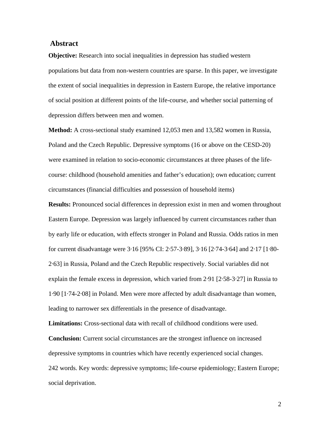# **Abstract**

**Objective:** Research into social inequalities in depression has studied western populations but data from non-western countries are sparse. In this paper, we investigate the extent of social inequalities in depression in Eastern Europe, the relative importance of social position at different points of the life-course, and whether social patterning of depression differs between men and women.

**Method:** A cross-sectional study examined 12,053 men and 13,582 women in Russia, Poland and the Czech Republic. Depressive symptoms (16 or above on the CESD-20) were examined in relation to socio-economic circumstances at three phases of the lifecourse: childhood (household amenities and father's education); own education; current circumstances (financial difficulties and possession of household items)

**Results:** Pronounced social differences in depression exist in men and women throughout Eastern Europe. Depression was largely influenced by current circumstances rather than by early life or education, with effects stronger in Poland and Russia. Odds ratios in men for current disadvantage were 3·16 [95% CI: 2·57-3·89], 3·16 [2·74-3·64] and 2·17 [1·80- 2·63] in Russia, Poland and the Czech Republic respectively. Social variables did not explain the female excess in depression, which varied from 2·91 [2·58-3·27] in Russia to 1·90 [1·74-2·08] in Poland. Men were more affected by adult disadvantage than women, leading to narrower sex differentials in the presence of disadvantage.

**Limitations:** Cross-sectional data with recall of childhood conditions were used. **Conclusion:** Current social circumstances are the strongest influence on increased depressive symptoms in countries which have recently experienced social changes. 242 words. Key words: depressive symptoms; life-course epidemiology; Eastern Europe; social deprivation.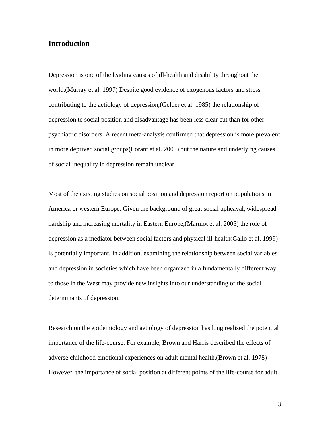# **Introduction**

Depression is one of the leading causes of ill-health and disability throughout the world.(Murray et al. 1997) Despite good evidence of exogenous factors and stress contributing to the aetiology of depression,(Gelder et al. 1985) the relationship of depression to social position and disadvantage has been less clear cut than for other psychiatric disorders. A recent meta-analysis confirmed that depression is more prevalent in more deprived social groups(Lorant et al. 2003) but the nature and underlying causes of social inequality in depression remain unclear.

Most of the existing studies on social position and depression report on populations in America or western Europe. Given the background of great social upheaval, widespread hardship and increasing mortality in Eastern Europe,(Marmot et al. 2005) the role of depression as a mediator between social factors and physical ill-health(Gallo et al. 1999) is potentially important. In addition, examining the relationship between social variables and depression in societies which have been organized in a fundamentally different way to those in the West may provide new insights into our understanding of the social determinants of depression.

Research on the epidemiology and aetiology of depression has long realised the potential importance of the life-course. For example, Brown and Harris described the effects of adverse childhood emotional experiences on adult mental health.(Brown et al. 1978) However, the importance of social position at different points of the life-course for adult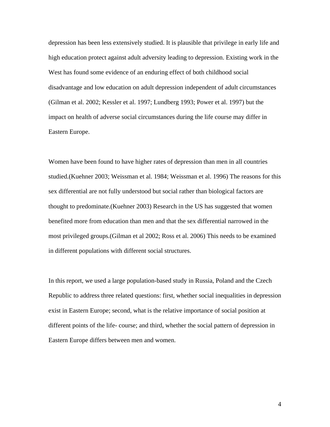depression has been less extensively studied. It is plausible that privilege in early life and high education protect against adult adversity leading to depression. Existing work in the West has found some evidence of an enduring effect of both childhood social disadvantage and low education on adult depression independent of adult circumstances (Gilman et al. 2002; Kessler et al. 1997; Lundberg 1993; Power et al. 1997) but the impact on health of adverse social circumstances during the life course may differ in Eastern Europe.

Women have been found to have higher rates of depression than men in all countries studied.(Kuehner 2003; Weissman et al. 1984; Weissman et al. 1996) The reasons for this sex differential are not fully understood but social rather than biological factors are thought to predominate.(Kuehner 2003) Research in the US has suggested that women benefited more from education than men and that the sex differential narrowed in the most privileged groups.(Gilman et al 2002; Ross et al. 2006) This needs to be examined in different populations with different social structures.

In this report, we used a large population-based study in Russia, Poland and the Czech Republic to address three related questions: first, whether social inequalities in depression exist in Eastern Europe; second, what is the relative importance of social position at different points of the life- course; and third, whether the social pattern of depression in Eastern Europe differs between men and women.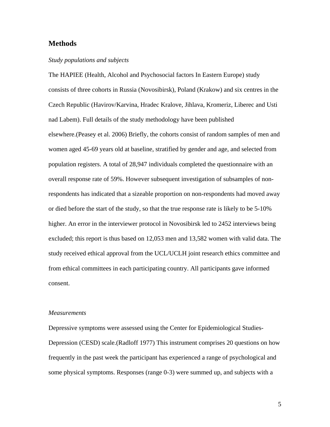# **Methods**

## *Study populations and subjects*

The HAPIEE (Health, Alcohol and Psychosocial factors In Eastern Europe) study consists of three cohorts in Russia (Novosibirsk), Poland (Krakow) and six centres in the Czech Republic (Havirov/Karvina, Hradec Kralove, Jihlava, Kromeriz, Liberec and Usti nad Labem). Full details of the study methodology have been published elsewhere.(Peasey et al. 2006) Briefly, the cohorts consist of random samples of men and women aged 45-69 years old at baseline, stratified by gender and age, and selected from population registers. A total of 28,947 individuals completed the questionnaire with an overall response rate of 59%. However subsequent investigation of subsamples of nonrespondents has indicated that a sizeable proportion on non-respondents had moved away or died before the start of the study, so that the true response rate is likely to be 5-10% higher. An error in the interviewer protocol in Novosibirsk led to 2452 interviews being excluded; this report is thus based on 12,053 men and 13,582 women with valid data. The study received ethical approval from the UCL/UCLH joint research ethics committee and from ethical committees in each participating country. All participants gave informed consent.

#### *Measurements*

Depressive symptoms were assessed using the Center for Epidemiological Studies-Depression (CESD) scale.(Radloff 1977) This instrument comprises 20 questions on how frequently in the past week the participant has experienced a range of psychological and some physical symptoms. Responses (range 0-3) were summed up, and subjects with a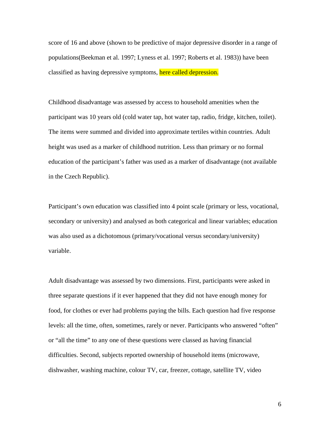score of 16 and above (shown to be predictive of major depressive disorder in a range of populations(Beekman et al. 1997; Lyness et al. 1997; Roberts et al. 1983)) have been classified as having depressive symptoms, here called depression.

Childhood disadvantage was assessed by access to household amenities when the participant was 10 years old (cold water tap, hot water tap, radio, fridge, kitchen, toilet). The items were summed and divided into approximate tertiles within countries. Adult height was used as a marker of childhood nutrition. Less than primary or no formal education of the participant's father was used as a marker of disadvantage (not available in the Czech Republic).

Participant's own education was classified into 4 point scale (primary or less, vocational, secondary or university) and analysed as both categorical and linear variables; education was also used as a dichotomous (primary/vocational versus secondary/university) variable.

Adult disadvantage was assessed by two dimensions. First, participants were asked in three separate questions if it ever happened that they did not have enough money for food, for clothes or ever had problems paying the bills. Each question had five response levels: all the time, often, sometimes, rarely or never. Participants who answered "often" or "all the time" to any one of these questions were classed as having financial difficulties. Second, subjects reported ownership of household items (microwave, dishwasher, washing machine, colour TV, car, freezer, cottage, satellite TV, video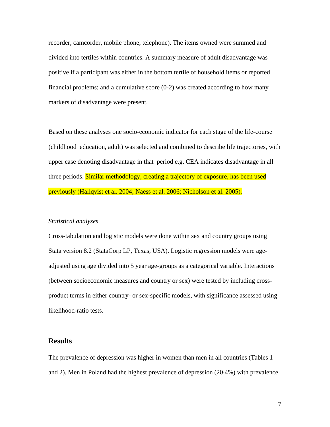recorder, camcorder, mobile phone, telephone). The items owned were summed and divided into tertiles within countries. A summary measure of adult disadvantage was positive if a participant was either in the bottom tertile of household items or reported financial problems; and a cumulative score (0-2) was created according to how many markers of disadvantage were present.

Based on these analyses one socio-economic indicator for each stage of the life-course (childhood education, adult) was selected and combined to describe life trajectories, with upper case denoting disadvantage in that period e.g. CEA indicates disadvantage in all three periods. Similar methodology, creating a trajectory of exposure, has been used previously (Hallqvist et al. 2004; Naess et al. 2006; Nicholson et al. 2005).

#### *Statistical analyses*

Cross-tabulation and logistic models were done within sex and country groups using Stata version 8.2 (StataCorp LP, Texas, USA). Logistic regression models were ageadjusted using age divided into 5 year age-groups as a categorical variable. Interactions (between socioeconomic measures and country or sex) were tested by including crossproduct terms in either country- or sex-specific models, with significance assessed using likelihood-ratio tests.

# **Results**

The prevalence of depression was higher in women than men in all countries (Tables 1 and 2). Men in Poland had the highest prevalence of depression (20·4%) with prevalence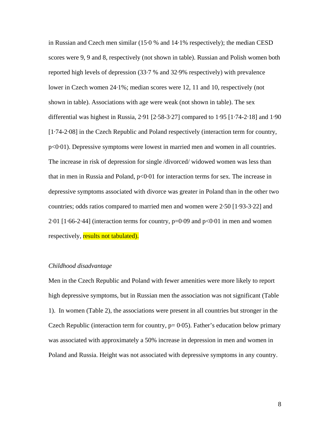in Russian and Czech men similar (15·0 % and 14·1% respectively); the median CESD scores were 9, 9 and 8, respectively (not shown in table). Russian and Polish women both reported high levels of depression (33·7 % and 32·9% respectively) with prevalence lower in Czech women 24·1%; median scores were 12, 11 and 10, respectively (not shown in table). Associations with age were weak (not shown in table). The sex differential was highest in Russia, 2·91 [2·58-3·27] compared to 1·95 [1·74-2·18] and 1·90 [1·74-2·08] in the Czech Republic and Poland respectively (interaction term for country, p<0·01). Depressive symptoms were lowest in married men and women in all countries. The increase in risk of depression for single /divorced/ widowed women was less than that in men in Russia and Poland,  $p<0.01$  for interaction terms for sex. The increase in depressive symptoms associated with divorce was greater in Poland than in the other two countries; odds ratios compared to married men and women were 2·50 [1·93-3·22] and  $2.01$  [1.66-2.44] (interaction terms for country,  $p=0.09$  and  $p<0.01$  in men and women respectively, results not tabulated).

## *Childhood disadvantage*

Men in the Czech Republic and Poland with fewer amenities were more likely to report high depressive symptoms, but in Russian men the association was not significant (Table 1). In women (Table 2), the associations were present in all countries but stronger in the Czech Republic (interaction term for country,  $p= 0.05$ ). Father's education below primary was associated with approximately a 50% increase in depression in men and women in Poland and Russia. Height was not associated with depressive symptoms in any country.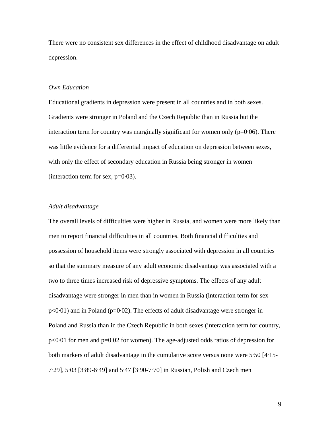There were no consistent sex differences in the effect of childhood disadvantage on adult depression.

# *Own Education*

Educational gradients in depression were present in all countries and in both sexes. Gradients were stronger in Poland and the Czech Republic than in Russia but the interaction term for country was marginally significant for women only  $(p=0.06)$ . There was little evidence for a differential impact of education on depression between sexes, with only the effect of secondary education in Russia being stronger in women (interaction term for sex,  $p=0.03$ ).

#### *Adult disadvantage*

The overall levels of difficulties were higher in Russia, and women were more likely than men to report financial difficulties in all countries. Both financial difficulties and possession of household items were strongly associated with depression in all countries so that the summary measure of any adult economic disadvantage was associated with a two to three times increased risk of depressive symptoms. The effects of any adult disadvantage were stronger in men than in women in Russia (interaction term for sex  $p<0.01$ ) and in Poland ( $p=0.02$ ). The effects of adult disadvantage were stronger in Poland and Russia than in the Czech Republic in both sexes (interaction term for country, p<0·01 for men and p=0·02 for women). The age-adjusted odds ratios of depression for both markers of adult disadvantage in the cumulative score versus none were 5·50 [4·15- 7·29], 5·03 [3·89-6·49] and 5·47 [3·90-7·70] in Russian, Polish and Czech men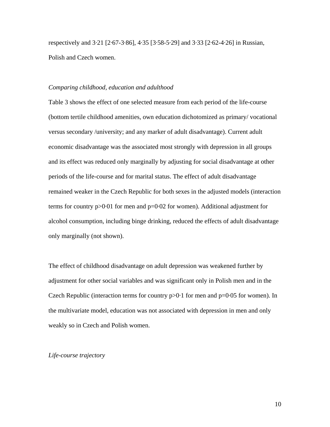respectively and 3·21 [2·67-3·86], 4·35 [3·58-5·29] and 3·33 [2·62-4·26] in Russian, Polish and Czech women.

## *Comparing childhood, education and adulthood*

Table 3 shows the effect of one selected measure from each period of the life-course (bottom tertile childhood amenities, own education dichotomized as primary/ vocational versus secondary /university; and any marker of adult disadvantage). Current adult economic disadvantage was the associated most strongly with depression in all groups and its effect was reduced only marginally by adjusting for social disadvantage at other periods of the life-course and for marital status. The effect of adult disadvantage remained weaker in the Czech Republic for both sexes in the adjusted models (interaction terms for country  $p > 0.01$  for men and  $p = 0.02$  for women). Additional adjustment for alcohol consumption, including binge drinking, reduced the effects of adult disadvantage only marginally (not shown).

The effect of childhood disadvantage on adult depression was weakened further by adjustment for other social variables and was significant only in Polish men and in the Czech Republic (interaction terms for country  $p>0.1$  for men and  $p=0.05$  for women). In the multivariate model, education was not associated with depression in men and only weakly so in Czech and Polish women.

## *Life-course trajectory*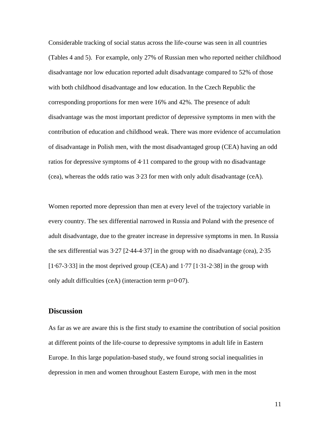Considerable tracking of social status across the life-course was seen in all countries (Tables 4 and 5). For example, only 27% of Russian men who reported neither childhood disadvantage nor low education reported adult disadvantage compared to 52% of those with both childhood disadvantage and low education. In the Czech Republic the corresponding proportions for men were 16% and 42%. The presence of adult disadvantage was the most important predictor of depressive symptoms in men with the contribution of education and childhood weak. There was more evidence of accumulation of disadvantage in Polish men, with the most disadvantaged group (CEA) having an odd ratios for depressive symptoms of 4·11 compared to the group with no disadvantage (cea), whereas the odds ratio was 3·23 for men with only adult disadvantage (ceA).

Women reported more depression than men at every level of the trajectory variable in every country. The sex differential narrowed in Russia and Poland with the presence of adult disadvantage, due to the greater increase in depressive symptoms in men. In Russia the sex differential was 3·27 [2·44-4·37] in the group with no disadvantage (cea), 2·35  $[1.67-3.33]$  in the most deprived group (CEA) and  $1.77$   $[1.31-2.38]$  in the group with only adult difficulties (ceA) (interaction term p=0·07).

# **Discussion**

As far as we are aware this is the first study to examine the contribution of social position at different points of the life-course to depressive symptoms in adult life in Eastern Europe. In this large population-based study, we found strong social inequalities in depression in men and women throughout Eastern Europe, with men in the most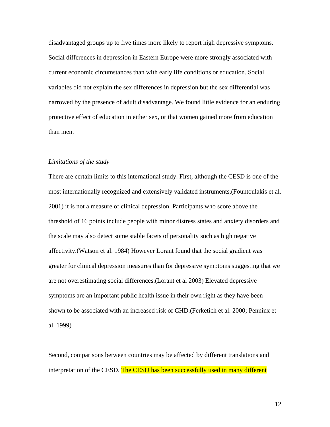disadvantaged groups up to five times more likely to report high depressive symptoms. Social differences in depression in Eastern Europe were more strongly associated with current economic circumstances than with early life conditions or education. Social variables did not explain the sex differences in depression but the sex differential was narrowed by the presence of adult disadvantage. We found little evidence for an enduring protective effect of education in either sex, or that women gained more from education than men.

#### *Limitations of the study*

There are certain limits to this international study. First, although the CESD is one of the most internationally recognized and extensively validated instruments,(Fountoulakis et al. 2001) it is not a measure of clinical depression. Participants who score above the threshold of 16 points include people with minor distress states and anxiety disorders and the scale may also detect some stable facets of personality such as high negative affectivity.(Watson et al. 1984) However Lorant found that the social gradient was greater for clinical depression measures than for depressive symptoms suggesting that we are not overestimating social differences.(Lorant et al 2003) Elevated depressive symptoms are an important public health issue in their own right as they have been shown to be associated with an increased risk of CHD.(Ferketich et al. 2000; Penninx et al. 1999)

Second, comparisons between countries may be affected by different translations and interpretation of the CESD. The CESD has been successfully used in many different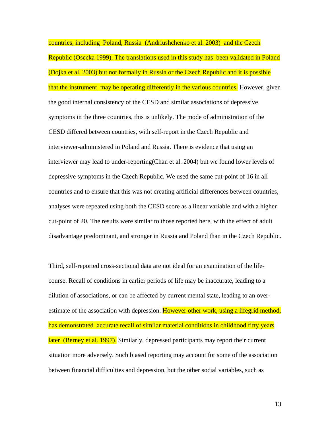countries, including Poland, Russia (Andriushchenko et al. 2003) and the Czech Republic (Osecka 1999). The translations used in this study has been validated in Poland (Dojka et al. 2003) but not formally in Russia or the Czech Republic and it is possible that the instrument may be operating differently in the various countries. However, given the good internal consistency of the CESD and similar associations of depressive symptoms in the three countries, this is unlikely. The mode of administration of the CESD differed between countries, with self-report in the Czech Republic and interviewer-administered in Poland and Russia. There is evidence that using an interviewer may lead to under-reporting(Chan et al. 2004) but we found lower levels of depressive symptoms in the Czech Republic. We used the same cut-point of 16 in all countries and to ensure that this was not creating artificial differences between countries, analyses were repeated using both the CESD score as a linear variable and with a higher cut-point of 20. The results were similar to those reported here, with the effect of adult disadvantage predominant, and stronger in Russia and Poland than in the Czech Republic.

Third, self-reported cross-sectional data are not ideal for an examination of the lifecourse. Recall of conditions in earlier periods of life may be inaccurate, leading to a dilution of associations, or can be affected by current mental state, leading to an overestimate of the association with depression. However other work, using a lifegrid method, has demonstrated accurate recall of similar material conditions in childhood fifty years later (Berney et al. 1997). Similarly, depressed participants may report their current situation more adversely. Such biased reporting may account for some of the association between financial difficulties and depression, but the other social variables, such as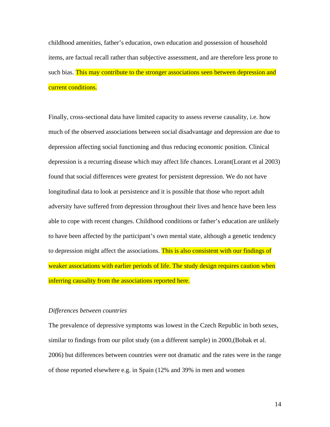childhood amenities, father's education, own education and possession of household items, are factual recall rather than subjective assessment, and are therefore less prone to such bias. This may contribute to the stronger associations seen between depression and current conditions.

Finally, cross-sectional data have limited capacity to assess reverse causality, i.e. how much of the observed associations between social disadvantage and depression are due to depression affecting social functioning and thus reducing economic position. Clinical depression is a recurring disease which may affect life chances. Lorant(Lorant et al 2003) found that social differences were greatest for persistent depression. We do not have longitudinal data to look at persistence and it is possible that those who report adult adversity have suffered from depression throughout their lives and hence have been less able to cope with recent changes. Childhood conditions or father's education are unlikely to have been affected by the participant's own mental state, although a genetic tendency to depression might affect the associations. This is also consistent with our findings of weaker associations with earlier periods of life. The study design requires caution when inferring causality from the associations reported here.

#### *Differences between countries*

The prevalence of depressive symptoms was lowest in the Czech Republic in both sexes, similar to findings from our pilot study (on a different sample) in 2000,(Bobak et al. 2006) but differences between countries were not dramatic and the rates were in the range of those reported elsewhere e.g. in Spain (12% and 39% in men and women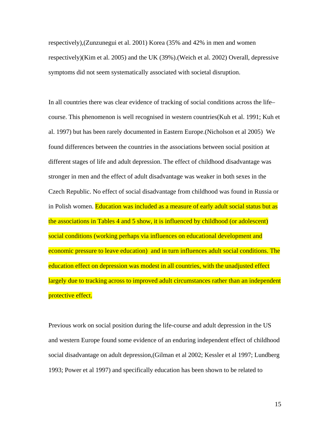respectively),(Zunzunegui et al. 2001) Korea (35% and 42% in men and women respectively)(Kim et al. 2005) and the UK (39%).(Weich et al. 2002) Overall, depressive symptoms did not seem systematically associated with societal disruption.

In all countries there was clear evidence of tracking of social conditions across the life– course. This phenomenon is well recognised in western countries(Kuh et al. 1991; Kuh et al. 1997) but has been rarely documented in Eastern Europe.(Nicholson et al 2005) We found differences between the countries in the associations between social position at different stages of life and adult depression. The effect of childhood disadvantage was stronger in men and the effect of adult disadvantage was weaker in both sexes in the Czech Republic. No effect of social disadvantage from childhood was found in Russia or in Polish women. Education was included as a measure of early adult social status but as the associations in Tables 4 and 5 show, it is influenced by childhood (or adolescent) social conditions (working perhaps via influences on educational development and economic pressure to leave education) and in turn influences adult social conditions. The education effect on depression was modest in all countries, with the unadjusted effect largely due to tracking across to improved adult circumstances rather than an independent protective effect.

Previous work on social position during the life-course and adult depression in the US and western Europe found some evidence of an enduring independent effect of childhood social disadvantage on adult depression,(Gilman et al 2002; Kessler et al 1997; Lundberg 1993; Power et al 1997) and specifically education has been shown to be related to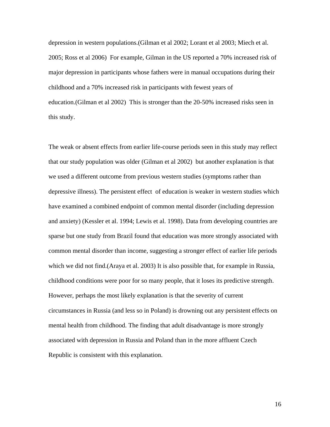depression in western populations.(Gilman et al 2002; Lorant et al 2003; Miech et al. 2005; Ross et al 2006) For example, Gilman in the US reported a 70% increased risk of major depression in participants whose fathers were in manual occupations during their childhood and a 70% increased risk in participants with fewest years of education.(Gilman et al 2002) This is stronger than the 20-50% increased risks seen in this study.

The weak or absent effects from earlier life-course periods seen in this study may reflect that our study population was older (Gilman et al 2002) but another explanation is that we used a different outcome from previous western studies (symptoms rather than depressive illness). The persistent effect of education is weaker in western studies which have examined a combined endpoint of common mental disorder (including depression and anxiety) (Kessler et al. 1994; Lewis et al. 1998). Data from developing countries are sparse but one study from Brazil found that education was more strongly associated with common mental disorder than income, suggesting a stronger effect of earlier life periods which we did not find. (Araya et al. 2003) It is also possible that, for example in Russia, childhood conditions were poor for so many people, that it loses its predictive strength. However, perhaps the most likely explanation is that the severity of current circumstances in Russia (and less so in Poland) is drowning out any persistent effects on mental health from childhood. The finding that adult disadvantage is more strongly associated with depression in Russia and Poland than in the more affluent Czech Republic is consistent with this explanation.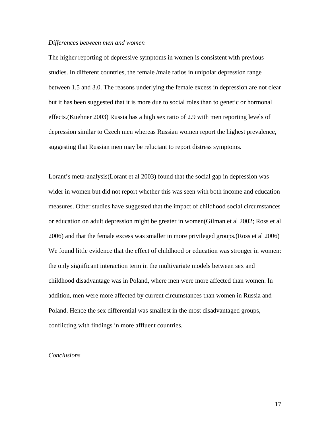#### *Differences between men and women*

The higher reporting of depressive symptoms in women is consistent with previous studies. In different countries, the female /male ratios in unipolar depression range between 1.5 and 3.0. The reasons underlying the female excess in depression are not clear but it has been suggested that it is more due to social roles than to genetic or hormonal effects.(Kuehner 2003) Russia has a high sex ratio of 2.9 with men reporting levels of depression similar to Czech men whereas Russian women report the highest prevalence, suggesting that Russian men may be reluctant to report distress symptoms.

Lorant's meta-analysis(Lorant et al 2003) found that the social gap in depression was wider in women but did not report whether this was seen with both income and education measures. Other studies have suggested that the impact of childhood social circumstances or education on adult depression might be greater in women(Gilman et al 2002; Ross et al 2006) and that the female excess was smaller in more privileged groups.(Ross et al 2006) We found little evidence that the effect of childhood or education was stronger in women: the only significant interaction term in the multivariate models between sex and childhood disadvantage was in Poland, where men were more affected than women. In addition, men were more affected by current circumstances than women in Russia and Poland. Hence the sex differential was smallest in the most disadvantaged groups, conflicting with findings in more affluent countries.

#### *Conclusions*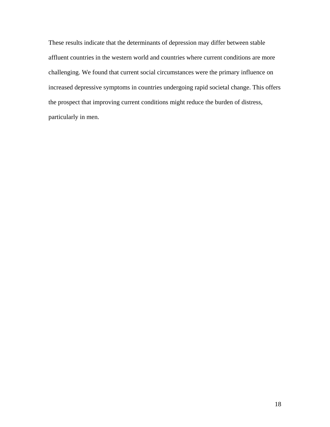These results indicate that the determinants of depression may differ between stable affluent countries in the western world and countries where current conditions are more challenging. We found that current social circumstances were the primary influence on increased depressive symptoms in countries undergoing rapid societal change. This offers the prospect that improving current conditions might reduce the burden of distress, particularly in men.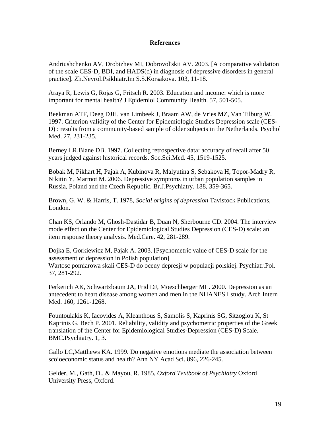# **References**

Andriushchenko AV, Drobizhev MI, Dobrovol'skii AV. 2003. [A comparative validation of the scale CES-D, BDI, and HADS(d) in diagnosis of depressive disorders in general practice]. Zh.Nevrol.Psikhiatr.Im S.S.Korsakova. 103, 11-18.

Araya R, Lewis G, Rojas G, Fritsch R. 2003. Education and income: which is more important for mental health? J Epidemiol Community Health. 57, 501-505.

Beekman ATF, Deeg DJH, van Limbeek J, Braam AW, de Vries MZ, Van Tilburg W. 1997. Criterion validity of the Center for Epidemiologic Studies Depression scale (CES-D) : results from a community-based sample of older subjects in the Netherlands. Psychol Med. 27, 231-235.

Berney LR,Blane DB. 1997. Collecting retrospective data: accuracy of recall after 50 years judged against historical records. Soc.Sci.Med. 45, 1519-1525.

Bobak M, Pikhart H, Pajak A, Kubinova R, Malyutina S, Sebakova H, Topor-Madry R, Nikitin Y, Marmot M. 2006. Depressive symptoms in urban population samples in Russia, Poland and the Czech Republic. Br.J.Psychiatry. 188, 359-365.

Brown, G. W. & Harris, T. 1978, *Social origins of depression* Tavistock Publications, London.

Chan KS, Orlando M, Ghosh-Dastidar B, Duan N, Sherbourne CD. 2004. The interview mode effect on the Center for Epidemiological Studies Depression (CES-D) scale: an item response theory analysis. Med.Care. 42, 281-289.

Dojka E, Gorkiewicz M, Pajak A. 2003. [Psychometric value of CES-D scale for the assessment of depression in Polish population] Wartosc pomiarowa skali CES-D do oceny depresji w populacji polskiej. Psychiatr.Pol. 37, 281-292.

Ferketich AK, Schwartzbaum JA, Frid DJ, Moeschberger ML. 2000. Depression as an antecedent to heart disease among women and men in the NHANES I study. Arch Intern Med. 160, 1261-1268.

Fountoulakis K, Iacovides A, Kleanthous S, Samolis S, Kaprinis SG, Sitzoglou K, St Kaprinis G, Bech P. 2001. Reliability, validity and psychometric properties of the Greek translation of the Center for Epidemiological Studies-Depression (CES-D) Scale. BMC.Psychiatry. 1, 3.

Gallo LC,Matthews KA. 1999. Do negative emotions mediate the association between scoioeconomic status and health? Ann NY Acad Sci. 896, 226-245.

Gelder, M., Gath, D., & Mayou, R. 1985, *Oxford Textbook of Psychiatry* Oxford University Press, Oxford.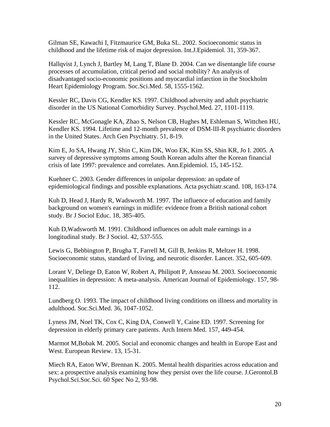Gilman SE, Kawachi I, Fitzmaurice GM, Buka SL. 2002. Socioeconomic status in childhood and the lifetime risk of major depression. Int.J.Epidemiol. 31, 359-367.

Hallqvist J, Lynch J, Bartley M, Lang T, Blane D. 2004. Can we disentangle life course processes of accumulation, critical period and social mobility? An analysis of disadvantaged socio-economic positions and myocardial infarction in the Stockholm Heart Epidemiology Program. Soc.Sci.Med. 58, 1555-1562.

Kessler RC, Davis CG, Kendler KS. 1997. Childhood adversity and adult psychiatric disorder in the US National Comorbidity Survey. Psychol.Med. 27, 1101-1119.

Kessler RC, McGonagle KA, Zhao S, Nelson CB, Hughes M, Eshleman S, Wittchen HU, Kendler KS. 1994. Lifetime and 12-month prevalence of DSM-lII-R psychiatric disorders in the United States. Arch Gen Psychiatry. 51, 8-19.

Kim E, Jo SA, Hwang JY, Shin C, Kim DK, Woo EK, Kim SS, Shin KR, Jo I. 2005. A survey of depressive symptoms among South Korean adults after the Korean financial crisis of late 1997: prevalence and correlates. Ann.Epidemiol. 15, 145-152.

Kuehner C. 2003. Gender differences in unipolar depression: an update of epidemiological findings and possible explanations. Acta psychiatr.scand. 108, 163-174.

Kuh D, Head J, Hardy R, Wadsworth M. 1997. The influence of education and family background on women's earnings in midlife: evidence from a British national cohort study. Br J Sociol Educ. 18, 385-405.

Kuh D,Wadsworth M. 1991. Childhood influences on adult male earnings in a longitudinal study. Br J Sociol. 42, 537-555.

Lewis G, Bebbington P, Brugha T, Farrell M, Gill B, Jenkins R, Meltzer H. 1998. Socioeconomic status, standard of living, and neurotic disorder. Lancet. 352, 605-609.

Lorant V, Deliege D, Eaton W, Robert A, Philipott P, Ansseau M. 2003. Socioeconomic inequalities in depression: A meta-analysis. American Journal of Epidemiology. 157, 98- 112.

Lundberg O. 1993. The impact of childhood living conditions on illness and mortality in adulthood. Soc.Sci.Med. 36, 1047-1052.

Lyness JM, Noel TK, Cox C, King DA, Conwell Y, Caine ED. 1997. Screening for depression in elderly primary care patients. Arch Intern Med. 157, 449-454.

Marmot M,Bobak M. 2005. Social and economic changes and health in Europe East and West. European Review. 13, 15-31.

Miech RA, Eaton WW, Brennan K. 2005. Mental health disparities across education and sex: a prospective analysis examining how they persist over the life course. J.Gerontol.B Psychol.Sci.Soc.Sci. 60 Spec No 2, 93-98.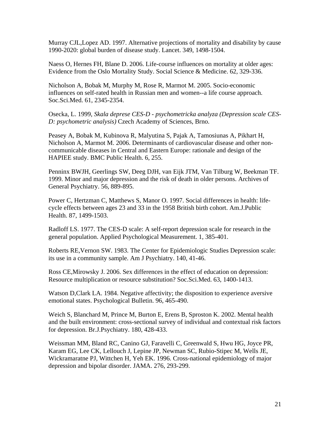Murray CJL,Lopez AD. 1997. Alternative projections of mortality and disability by cause 1990-2020: global burden of disease study. Lancet. 349, 1498-1504.

Naess O, Hernes FH, Blane D. 2006. Life-course influences on mortality at older ages: Evidence from the Oslo Mortality Study. Social Science & Medicine. 62, 329-336.

Nicholson A, Bobak M, Murphy M, Rose R, Marmot M. 2005. Socio-economic influences on self-rated health in Russian men and women--a life course approach. Soc.Sci.Med. 61, 2345-2354.

Osecka, L. 1999, *Skala deprese CES-D - psychometricka analyza (Depression scale CES-D: psychometric analysis)* Czech Academy of Sciences, Brno.

Peasey A, Bobak M, Kubinova R, Malyutina S, Pajak A, Tamosiunas A, Pikhart H, Nicholson A, Marmot M. 2006. Determinants of cardiovascular disease and other noncommunicable diseases in Central and Eastern Europe: rationale and design of the HAPIEE study. BMC Public Health. 6, 255.

Penninx BWJH, Geerlings SW, Deeg DJH, van Eijk JTM, Van Tilburg W, Beekman TF. 1999. Minor and major depression and the risk of death in older persons. Archives of General Psychiatry. 56, 889-895.

Power C, Hertzman C, Matthews S, Manor O. 1997. Social differences in health: lifecycle effects between ages 23 and 33 in the 1958 British birth cohort. Am.J.Public Health. 87, 1499-1503.

Radloff LS. 1977. The CES-D scale: A self-report depression scale for research in the general population. Applied Psychological Measurement. 1, 385-401.

Roberts RE,Vernon SW. 1983. The Center for Epidemiologic Studies Depression scale: its use in a community sample. Am J Psychiatry. 140, 41-46.

Ross CE,Mirowsky J. 2006. Sex differences in the effect of education on depression: Resource multiplication or resource substitution? Soc.Sci.Med. 63, 1400-1413.

Watson D,Clark LA. 1984. Negative affectivity; the disposition to experience aversive emotional states. Psychological Bulletin. 96, 465-490.

Weich S, Blanchard M, Prince M, Burton E, Erens B, Sproston K. 2002. Mental health and the built environment: cross-sectional survey of individual and contextual risk factors for depression. Br.J.Psychiatry. 180, 428-433.

Weissman MM, Bland RC, Canino GJ, Faravelli C, Greenwald S, Hwu HG, Joyce PR, Karam EG, Lee CK, Lellouch J, Lepine JP, Newman SC, Rubio-Stipec M, Wells JE, Wickramaratne PJ, Wittchen H, Yeh EK. 1996. Cross-national epidemiology of major depression and bipolar disorder. JAMA. 276, 293-299.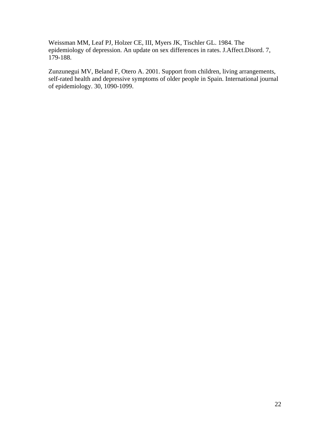Weissman MM, Leaf PJ, Holzer CE, III, Myers JK, Tischler GL. 1984. The epidemiology of depression. An update on sex differences in rates. J.Affect.Disord. 7, 179-188.

Zunzunegui MV, Beland F, Otero A. 2001. Support from children, living arrangements, self-rated health and depressive symptoms of older people in Spain. International journal of epidemiology. 30, 1090-1099.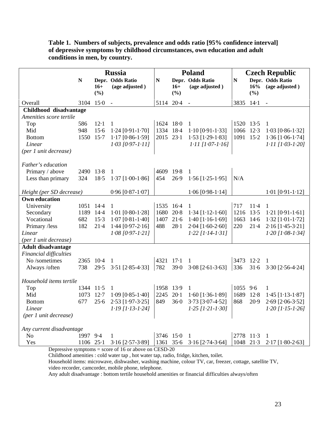| Table 1. Numbers of subjects, prevalence and odds ratio [95% confidence interval] |
|-----------------------------------------------------------------------------------|
| of depressive symptoms by childhood circumstances, own education and adult        |
| conditions in men, by country.                                                    |

|                               | <b>Russia</b> |        | <b>Poland</b>                                         |             |            | <b>Czech Republic</b>      |           |             |                            |
|-------------------------------|---------------|--------|-------------------------------------------------------|-------------|------------|----------------------------|-----------|-------------|----------------------------|
|                               | $\mathbf N$   |        | Depr. Odds Ratio                                      | $\mathbf N$ |            | Depr. Odds Ratio           | ${\bf N}$ |             | Depr. Odds Ratio           |
|                               |               | $16+$  | (age adjusted)                                        |             | $16+$      | (age adjusted)             |           | 16%         | (age adjusted)             |
|                               |               | (%)    |                                                       |             | (%)        |                            |           | (%)         |                            |
| Overall                       | 3104 15.0     |        | $\sim$                                                | 5114 20.4   |            | $\sim$ $-$                 | 3835 14-1 |             | $\sim$                     |
| Childhood disadvantage        |               |        |                                                       |             |            |                            |           |             |                            |
| Amenities score tertile       |               |        |                                                       |             |            |                            |           |             |                            |
| Top                           | 586           | $12-1$ | 1                                                     | 1624 180    |            | 1                          | 1520 13.5 |             | 1                          |
| Mid                           | 948           | 15.6   | $1.24$ [0.91-1.70]                                    | 1334 184    |            | $1.10$ [0.91-1.33]         | 1066 12.3 |             | $1.03$ [0.86-1.32]         |
| <b>Bottom</b>                 | 1550 15-7     |        | $1.17$ [0.86-1.59]                                    | 2015 23.1   |            | $1.53$ [ $1.29 - 1.83$ ]   | 1091 15.2 |             | $1.36$ [ $1.06 - 1.74$ ]   |
| Linear                        |               |        | $1.03$ [0.97-1.11]                                    |             |            | $1.11$ [1.07-1.16]         |           |             | $1.11$ [1.03-1.20]         |
| (per 1 unit decrease)         |               |        |                                                       |             |            |                            |           |             |                            |
| Father's education            |               |        |                                                       |             |            |                            |           |             |                            |
| Primary / above               | 2490 13.8     |        | -1                                                    | 4609 19.8   |            | $\mathbf{1}$               |           |             |                            |
| Less than primary             | 324           | 18.5   | $1.37$ [ $1.00 - 1.86$ ]                              | 454         | 26.9       | $1.56$ [ $1.25-1.95$ ]     | N/A       |             |                            |
| Height (per SD decrease)      |               |        | $0.96$ [ $0.87 - 1.07$ ]                              |             |            | $1.06$ [0.98-1.14]         |           |             | $1.01$ [0.91-1.12]         |
| <b>Own education</b>          |               |        |                                                       |             |            |                            |           |             |                            |
| University                    | 1051 144      |        | 1                                                     | 1535 16.4   |            | -1                         | 717       | $11-4$      | -1                         |
| Secondary                     | 1189 14.4     |        | $1.01$ [0.80-1.28]                                    | 1680        | $20-8$     | $1.34$ [ $1.12 - 1.60$ ]   | 1216 13.5 |             | $1.21$ [0.91-1.61]         |
| Vocational                    | 682           | $15-3$ | $1.07$ [0.81-1.40]                                    | 1407        | $21-6$     | $1.40$ [ $1.16 - 1.69$ ]   | 1663      | $14-6$      | $1.32$ [ $1.01 - 1.72$ ]   |
| Primary /less                 | 182           | $21-4$ | $1.44$ [0.97-2.16]                                    | 488         | $28 - 1$   | $2.04$ [1.60-2.60]         | 220       | $21-4$      | $2.16$ [1.45-3.21]         |
| Linear                        |               |        | $1.08$ [0.97-1.21]                                    |             |            | $1.22$ [1.14-1.31]         |           |             | $1.20$ [1.08-1.34]         |
| (per 1 unit decrease)         |               |        |                                                       |             |            |                            |           |             |                            |
| <b>Adult disadvantage</b>     |               |        |                                                       |             |            |                            |           |             |                            |
| <b>Financial difficulties</b> |               |        |                                                       |             |            |                            |           |             |                            |
| No /sometimes                 | 2365 10.4     |        | $\overline{1}$                                        | 4321 17.1   |            | $\overline{1}$             | 3473 12-2 |             | $\overline{1}$             |
| Always /often                 | 738           |        | 29.5 3.51 [2.85-4.33]                                 | 782         | 39.0       | $3.08$ [2.61-3.63]         | 336       | $31-6$      | $3.30$ [2.56-4.24]         |
| Household items tertile       |               |        |                                                       |             |            |                            |           |             |                            |
| Top                           | 1344 11.5     |        | $\mathbf{1}$                                          | 1958 13.9   |            | $\mathbf{1}$               | 1055 9.6  |             | 1                          |
| Mid                           | 1073          | $12-7$ | $1.09$ [0.85-1.40]                                    | 2245        | $20-1$     | $1.60$ [ $1.36-1.89$ ]     | 1689      | 12.8        | $1.45$ [1.13-1.87]         |
| <b>Bottom</b>                 | 677           | 25.6   | 2.53 [1.97-3.25]                                      | 849         | $36 - 0$   | 3.73 [3.07-4.52]           | 868       | 20.9        | $2.69$ [ $2.06 - 3.52$ ]   |
| Linear                        |               |        | $1.19$ [1.13-1.24]                                    |             |            | $1.25$ [1.21-1.30]         |           |             | $1.20$ [1.15-1.26]         |
| (per 1 unit decrease)         |               |        |                                                       |             |            |                            |           |             |                            |
| Any current disadvantage      |               |        |                                                       |             |            |                            |           |             |                            |
| No                            | 1997 9.4      |        | 1                                                     |             | 3746 150 1 |                            |           | 2778 11.3 1 |                            |
| Yes                           |               |        | 1106 25.1 3.16 [2.57-3.89]                            |             |            | 1361 35.6 3.16 [2.74-3.64] |           |             | 1048 21.3 2.17 [1.80-2.63] |
|                               |               |        | Depressive symptoms = score of 16 or above on CESD-20 |             |            |                            |           |             |                            |

Childhood amenities : cold water tap , hot water tap, radio, fridge, kitchen, toilet.

Household items: microwave, dishwasher, washing machine, colour TV, car, freezer, cottage, satellite TV, video recorder, camcorder, mobile phone, telephone.

Any adult disadvantage : bottom tertile household amenities or financial difficulties always/often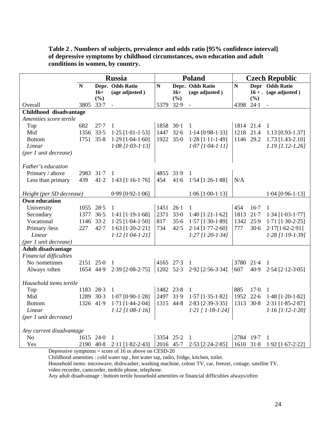| Table 2. Numbers of subjects, prevalence and odds ratio [95% confidence interval] |
|-----------------------------------------------------------------------------------|
| of depressive symptoms by childhood circumstances, own education and adult        |
| conditions in women, by country.                                                  |

|                                                   | <b>Russia</b> |       | Poland                     |           |           | <b>Czech Republic</b>    |             |          |                          |
|---------------------------------------------------|---------------|-------|----------------------------|-----------|-----------|--------------------------|-------------|----------|--------------------------|
|                                                   | $\mathbf N$   |       | Depr. Odds Ratio           | ${\bf N}$ |           | Depr. Odds Ratio         | $\mathbf N$ |          | Depr Odds Ratio          |
|                                                   |               | $16+$ | (age adjusted)             |           | $16+$     | (age adjusted)           |             |          | $16 + .$ (age adjusted)  |
|                                                   |               | (%)   |                            |           | (%)       |                          |             | (%)      |                          |
| Overall                                           | 3805 33.7     |       | $\sim$                     | 5379 32.9 |           | $\sim$                   | 4398        | $24-1$   | $\sim$                   |
| Childhood disadvantage<br>Amenities score tertile |               |       |                            |           |           |                          |             |          |                          |
|                                                   | 682           | 27.7  |                            | 1858 30-1 |           |                          | 1814 21.4   |          |                          |
| Top<br>Mid                                        | 1356 33.5     |       | 1                          | 1447 32.6 |           | 1                        | 1218 21.4   |          | -1                       |
|                                                   |               |       | $1.25$ [1.01-1.53]         |           |           | $1.14$ [0.98-1.33]       |             |          | 1.13 [0.93-1.37]         |
| <b>Bottom</b>                                     | 1751 35.8     |       | $1.29$ [ $1.04 - 1.60$ ]   | 1922 35.0 |           | $1.28$ [1.11-1.49]       | 1146 29.2   |          | $1.73$ [1.43-2.10]       |
| Linear                                            |               |       | $1.08$ [1.03-1.13]         |           |           | $1.07$ [1.04-1.11]       |             |          | $1.19$ [1.12-1.26]       |
| (per 1 unit decrease)                             |               |       |                            |           |           |                          |             |          |                          |
| Father's education                                |               |       |                            |           |           |                          |             |          |                          |
| Primary / above                                   | 2983 31.7     |       | 1                          | 4855      | 31.9      | $\overline{1}$           |             |          |                          |
| Less than primary                                 | 439           | 41.2  | $1.43$ [1.16-1.76]         | 454       | 41.6      | $1.54$ [1.26-1.88]       | N/A         |          |                          |
|                                                   |               |       |                            |           |           |                          |             |          |                          |
| Height (per SD decrease)                          |               |       | $0.99$ [0.92-1.06]         |           |           | $1.06$ [ $1.00 - 1.13$ ] |             |          | $1.04$ [0.96-1.13]       |
| <b>Own education</b>                              |               |       |                            |           |           |                          |             |          |                          |
| University                                        | 1055 28.5     |       | 1                          | 1451 26.1 |           | $\mathbf{1}$             | 454         | $16-7$   | $\mathbf{1}$             |
| Secondary                                         | 1377 36.5     |       | 1.41 $[1.19-1.68]$         | 2371      | 33.0      | $1.40$ [ $1.21 - 1.62$ ] | 1813        | $21 - 7$ | $1.34$ [ $1.03 - 1.77$ ] |
| Vocational                                        | 1146 33.2     |       | $1.25$ [ $1.04 - 1.50$ ]   | 817       | 35.6      | $1.57$ [ $1.30-1.89$ ]   | 1342        | 25.9     | $1.71$ [ $1.30 - 2.25$ ] |
| Primary /less                                     | 227           | 42.7  | $1.63$ [ $1.20-2.21$ ]     | 734       | 42.5      | $2.14$ [1.77-2.60]       | 777         | $30 - 6$ | $2.17[1.62-2.91]$        |
| Linear                                            |               |       | $1.12$ [1.04-1.21]         |           |           | $1.27$ [1.20-1.34]       |             |          | $1.28$ [1.19-1.39]       |
| (per 1 unit decrease)                             |               |       |                            |           |           |                          |             |          |                          |
| <b>Adult disadvantage</b>                         |               |       |                            |           |           |                          |             |          |                          |
| <b>Financial difficulties</b>                     |               |       |                            |           |           |                          |             |          |                          |
| No /sometimes                                     | 2151 25.0     |       | 1                          | 4165 27.3 |           | 1                        | 3780 21.4   |          | 1                        |
| Always /often                                     | 1654 44.9     |       | $2.39$ [ $2.08 - 2.75$ ]   | 1202 52.3 |           | 2.92 [2.56-3.34]         | 607         | 40.9     | $2.54$ [ $2.12 - 3.05$ ] |
|                                                   |               |       |                            |           |           |                          |             |          |                          |
| Household items tertile                           |               |       |                            |           |           |                          |             |          |                          |
| Top                                               | 1183 28.3     |       | -1                         | 1482 23.8 |           | $\mathbf{1}$             | 885         | $17-0$   | $\mathbf{1}$             |
| Mid                                               | 1289 30.3     |       | $1.07$ [0.90-1.28]         | 2497 31.9 |           | $1.57$ [ $1.35-1.82$ ]   | 1952 22.6   |          | $1.48$ [ $1.20 - 1.82$ ] |
| <b>Bottom</b>                                     | 1326 41.9     |       | $1.71$ [1.44-2.04]         | 1315 44.8 |           | $2.83$ [ $2.39 - 3.35$ ] | 1313 30.8   |          | 2.31 [1.85-2.87]         |
| Linear                                            |               |       | $1.12$ [1.08-1.16]         |           |           | $1.21$ [ $1.18 - 1.24$ ] |             |          | $1.16$ [1.12.1.20]       |
| (per 1 unit decrease)                             |               |       |                            |           |           |                          |             |          |                          |
|                                                   |               |       |                            |           |           |                          |             |          |                          |
| Any current disadvantage                          |               |       |                            |           |           |                          |             |          |                          |
| N <sub>o</sub>                                    | 1615 24.0     |       | 1                          | 3354 25.2 |           | 1                        | 2784 19.7   |          | 1                        |
| Yes                                               |               |       | 2190 40.8 2.11 [1.82-2.43] |           | 2016 45.7 | $2.53$ [ $2.24 - 2.85$ ] | 1610 31.8   |          | 1.92 [1.67-2.22]         |

Depressive symptoms = score of 16 or above on CESD-20

Childhood amenities : cold water tap , hot water tap, radio, fridge, kitchen, toilet.

Household items: microwave, dishwasher, washing machine, colour TV, car, freezer, cottage, satellite TV, video recorder, camcorder, mobile phone, telephone.

Any adult disadvantage : bottom tertile household amenities or financial difficulties always/often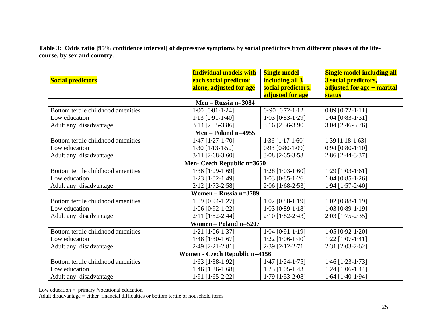**Table 3: Odds ratio [95% confidence interval] of depressive symptoms by social predictors from different phases of the lifecourse, by sex and country.** 

|                                    | <b>Individual models with</b> | <b>Single model</b>      | <b>Single model including all</b> |  |  |  |  |  |
|------------------------------------|-------------------------------|--------------------------|-----------------------------------|--|--|--|--|--|
| <b>Social predictors</b>           | each social predictor         | including all 3          | 3 social predictors,              |  |  |  |  |  |
|                                    | alone, adjusted for age       | social predictors,       | adjusted for age + marital        |  |  |  |  |  |
|                                    |                               | adjusted for age         | status                            |  |  |  |  |  |
|                                    | Men – Russia n=3084           |                          |                                   |  |  |  |  |  |
| Bottom tertile childhood amenities | $1.00$ [0.81-1.24]            | $0.90$ [0.72-1.12]       | $0.89$ [0.72-1.11]                |  |  |  |  |  |
| Low education                      | $1.13$ [0.91-1.40]            | $1.03$ [0.83-1.29]       | $1.04$ [0.83-1.31]                |  |  |  |  |  |
| Adult any disadvantage             | $3.14$ [ $2.55 - 3.86$ ]      | $3.16$ [ $2.56-3.90$ ]   | $3.04$ [2.46-3.76]                |  |  |  |  |  |
|                                    | Men - Poland $n=4955$         |                          |                                   |  |  |  |  |  |
| Bottom tertile childhood amenities | $1.47$ [ $1.27 - 1.70$ ]      | $1.36$ [1.17-1.60]       | $1.39$ [1.18-1.63]                |  |  |  |  |  |
| Low education                      | $1.30$ [1.13-1.50]            | $0.93$ [0.80-1.09]       | $0.94$ [0.80-1.10]                |  |  |  |  |  |
| Adult any disadvantage             | $3.11$ [ $2.68-3.60$ ]        | $3.08$ [ $2.65 - 3.58$ ] | 2.86 [2.44-3.37]                  |  |  |  |  |  |
|                                    | Men- Czech Republic n=3650    |                          |                                   |  |  |  |  |  |
| Bottom tertile childhood amenities | $1.36$ [ $1.09-1.69$ ]        | $1.28$ [1.03-1.60]       | $1.29$ [1.03-1.61]                |  |  |  |  |  |
| Low education                      | $1.23$ [1.02-1.49]            | $1.03$ [0.85-1.26]       | $1.04$ [0.85-1.26]                |  |  |  |  |  |
| Adult any disadvantage             | $2.12$ [1.73-2.58]            | $2.06$ [1.68-2.53]       | $1.94$ [ $1.57 - 2.40$ ]          |  |  |  |  |  |
| Women - Russia n=3789              |                               |                          |                                   |  |  |  |  |  |
| Bottom tertile childhood amenities | $1.09$ [0.94-1.27]            | $1.02$ [0.88-1.19]       | $1.02$ [0.88-1.19]                |  |  |  |  |  |
| Low education                      | $1.06$ [0.92-1.22]            | $1.03$ [0.89-1.18]       | $1.03$ [0.89-1.19]                |  |  |  |  |  |
| Adult any disadvantage             | $2.11$ [1.82-2.44]            | $2.10$ [1.82-2.43]       | $2.03$ [1.75-2.35]                |  |  |  |  |  |
|                                    | Women - Poland n=5207         |                          |                                   |  |  |  |  |  |
| Bottom tertile childhood amenities | $1.21$ [1.06-1.37]            | $1.04$ [0.91-1.19]       | $1.05$ [0.92-1.20]                |  |  |  |  |  |
| Low education                      | $1.48$ [ $1.30 - 1.67$ ]      | $1.22$ [1.06-1.40]       | $1.22$ [1.07-1.41]                |  |  |  |  |  |
| Adult any disadvantage             | 2.49 [2.21-2.81]              | $2.39$ [ $2.12 - 2.71$ ] | $2.31$ [ $2.03 - 2.62$ ]          |  |  |  |  |  |
| Women - Czech Republic n=4156      |                               |                          |                                   |  |  |  |  |  |
| Bottom tertile childhood amenities | $1.63$ [1.38-1.92]            | $1.47$ [ $1.24 - 1.75$ ] | $1.46$ [ $1.23 - 1.73$ ]          |  |  |  |  |  |
| Low education                      | $1.46$ [ $1.26 - 1.68$ ]      | $1.23$ [1.05-1.43]       | $1.24$ [1.06-1.44]                |  |  |  |  |  |
| Adult any disadvantage             | $1.91$ $[1.65-2.22]$          | $1.79$ $[1.53-2.08]$     | $1.64$ [1.40-1.94]                |  |  |  |  |  |

Low education = primary /vocational education

Adult disadvantage = either financial difficulties or bottom tertile of household items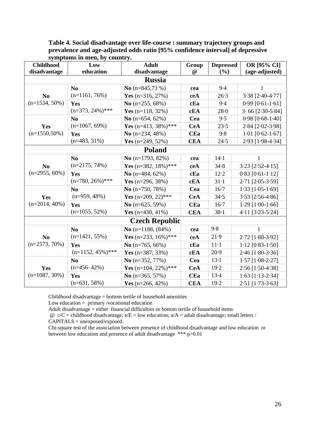| <b>Childhood</b>                   | Low                  | <b>Adult</b>          | Group      | <b>Depressed</b> | OR [95% CI]              |
|------------------------------------|----------------------|-----------------------|------------|------------------|--------------------------|
| disadvantage                       | education            | disadvantage          | @          | (%)              | (age-adjusted)           |
|                                    |                      | <b>Russia</b>         |            |                  |                          |
|                                    | N <sub>0</sub>       | No $(n=845,73\%)$     | cea        | 9.4              | 1                        |
| N <sub>0</sub>                     | $(n=1161, 76\%)$     | Yes $(n=316, 27%)$    | ceA        | $26-3$           | 3.38 [2.40-4.77]         |
| $(n=1534, 50\%)$                   | Yes                  | No $(n=255, 68\%)$    | cEa        | 9.4              | $0.99$ [ $0.61 - 1.61$ ] |
|                                    | $(n=373, 24\%)$ ***  | Yes $(n=118, 32\%)$   | cEA        | $28 - 0$         | $3.66$ [ $2.30-5.84$ ]   |
|                                    | N <sub>o</sub>       | No $(n=654, 62\%)$    | Cea        | 9.5              | $0.98$ [0.68-1.40]       |
| Yes                                | $(n=1067, 69\%)$     | Yes (n=413, 38%)***   | <b>CeA</b> | 23.5             | 2.84 [2.02-3.98]         |
| $(n=1550,50\%)$                    | Yes                  | No $(n=234, 48\%)$    | <b>CEa</b> | 9.8              | $1.01$ [0.62-1.67]       |
|                                    | $(n=483, 31\%)$      | Yes $(n=249, 52\%)$   | <b>CEA</b> | 24.5             | 2.93 [1.98-4.34]         |
|                                    |                      | <b>Poland</b>         |            |                  |                          |
|                                    | N <sub>0</sub>       | No $(n=1793, 82\%)$   | cea        | $14-1$           | 1                        |
| N <sub>0</sub><br>$(n=2955, 60\%)$ | $(n=2175, 74\%)$     | Yes (n=382, 18%)***   | ceA        | 34.8             | $3.23$ [ $2.52 - 4.15$ ] |
|                                    | Yes                  | No $(n=484, 62\%)$    | cEa        | 12.2             | $0.83$ [ $0.61 - 1.12$ ] |
|                                    | $(n=780, 26\%)$ ***  | Yes $(n=296, 38\%)$   | cEA        | $31-1$           | 2.71 [2.05-3.59]         |
| Yes<br>$(n=2014, 40\%)$            | N <sub>0</sub>       | No $(n=750, 78\%)$    | Cea        | $16-7$           | $1.33$ [ $1.05-1.69$ ]   |
|                                    | $(n=959, 48\%)$      | Yes (n=209, 22)***    | <b>CeA</b> | 34.5             | $3.53$ [ $2.56 - 4.86$ ] |
|                                    | Yes                  | No $(n=625, 59\%)$    | <b>CEa</b> | $16-7$           | $1.29$ [ $1.00 - 1.66$ ] |
|                                    | $(n=1055, 52\%)$     | Yes $(n=430, 41\%)$   | <b>CEA</b> | $38 - 1$         | $4.11$ [3.23-5.24]       |
|                                    |                      | <b>Czech Republic</b> |            |                  |                          |
|                                    | N <sub>0</sub>       | No $(n=1188, (84%)$   | cea        | 9.8              | $\mathbf{1}$             |
| N <sub>0</sub>                     | $(n=1421, 55\%)$     | Yes (n=233, 16%)***   | ceA        | 21.9             | 2.72 [1.88-3.92]         |
| $(n=2573, 70\%)$                   | Yes                  | No $(n=765, 66\%)$    | cEa        | $11-1$           | $1.12$ [0.83-1.50]       |
|                                    | $(n=1152, 45\%)$ *** | Yes $(n=387, 33\%)$   | cEA        | 20.9             | $2.46$ [1.80-3.36]       |
|                                    | N <sub>0</sub>       | No $(n=352, 77%)$     | Cea        | $13-1$           | $1.57$ [ $1.08 - 2.27$ ] |
| Yes                                | $(n=456.42\%)$       | Yes (n=104, 22%)***   | <b>CeA</b> | 19.2             | $2.56$ [1.50-4.38]       |
| $(n=1087, 30\%)$                   | Yes                  | No $(n=365, 57%)$     | <b>CEa</b> | $13-4$           | $1.63$ [ $1.13 - 2.34$ ] |
|                                    | $(n=631, 58\%)$      | Yes $(n=266, 42\%)$   | <b>CEA</b> | 19.2             | $2.51$ [1.73-3.63]       |

**Table 4. Social disadvantage over life-course : summary trajectory groups and prevalence and age-adjusted odds ratio [95% confidence interval] of depressive symptoms in men, by country.** 

Childhood disadvantage = bottom tertile of household amenities

Low education  $=$  primary /vocational education

Adult disadvantage = either financial difficulties or bottom tertile of household items

 $\omega$  c/C = childhood disadvantage; e/E = low education; a/A = adult disadvantage; small letters /

CAPITALS = unexposed/exposed.

Chi-square test of the association between presence of childhood disadvantage and low education or between low education and presence of adult disadvantage \*\*\* p>0.01